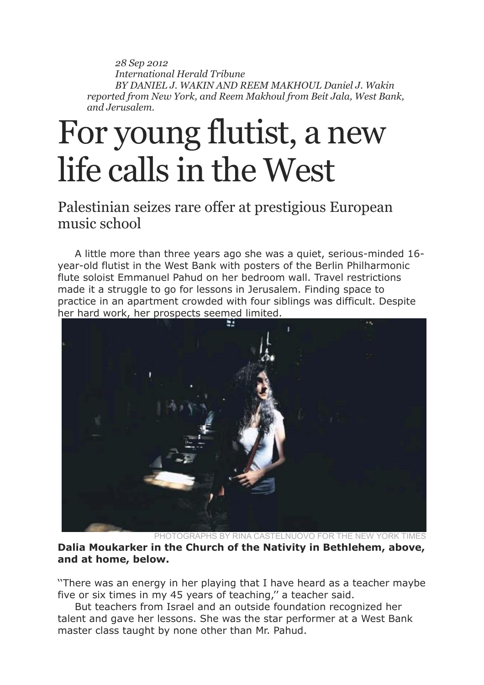*28 Sep 2012 International Herald Tribune BY DANIEL J. WAKIN AND REEM MAKHOUL Daniel J. Wakin reported from New York, and Reem Makhoul from Beit Jala, West Bank, and Jerusalem.*

## For young flutist, a new life calls in the West

Palestinian seizes rare offer at prestigious European music school

A little more than three years ago she was a quiet, serious-minded 16 year-old flutist in the West Bank with posters of the Berlin Philharmonic flute soloist Emmanuel Pahud on her bedroom wall. Travel restrictions made it a struggle to go for lessons in Jerusalem. Finding space to practice in an apartment crowded with four siblings was difficult. Despite her hard work, her prospects seemed limited.



PHOTOGRAPHS BY RINA CASTELNUOVO FOR THE NEW YORK TIMES **Dalia Moukarker in the Church of the Nativity in Bethlehem, above, and at home, below.** 

''There was an energy in her playing that I have heard as a teacher maybe five or six times in my 45 years of teaching,'' a teacher said.

But teachers from Israel and an outside foundation recognized her talent and gave her lessons. She was the star performer at a West Bank master class taught by none other than Mr. Pahud.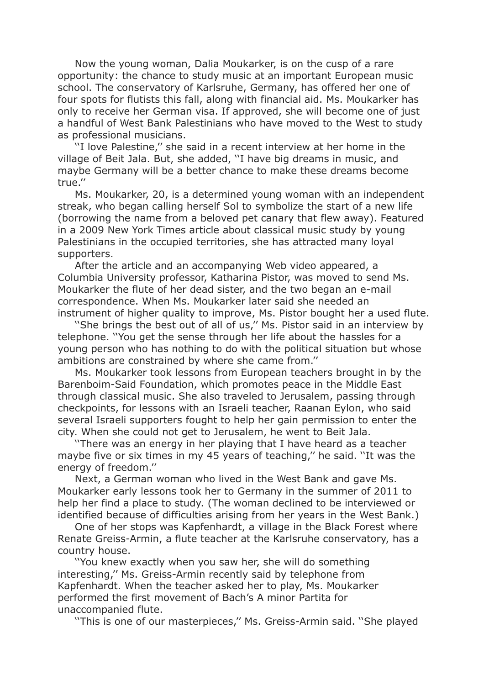Now the young woman, Dalia Moukarker, is on the cusp of a rare opportunity: the chance to study music at an important European music school. The conservatory of Karlsruhe, Germany, has offered her one of four spots for flutists this fall, along with financial aid. Ms. Moukarker has only to receive her German visa. If approved, she will become one of just a handful of West Bank Palestinians who have moved to the West to study as professional musicians.

''I love Palestine,'' she said in a recent interview at her home in the village of Beit Jala. But, she added, ''I have big dreams in music, and maybe Germany will be a better chance to make these dreams become true.''

Ms. Moukarker, 20, is a determined young woman with an independent streak, who began calling herself Sol to symbolize the start of a new life (borrowing the name from a beloved pet canary that flew away). Featured in a 2009 New York Times article about classical music study by young Palestinians in the occupied territories, she has attracted many loyal supporters.

After the article and an accompanying Web video appeared, a Columbia University professor, Katharina Pistor, was moved to send Ms. Moukarker the flute of her dead sister, and the two began an e-mail correspondence. When Ms. Moukarker later said she needed an instrument of higher quality to improve, Ms. Pistor bought her a used flute.

''She brings the best out of all of us,'' Ms. Pistor said in an interview by telephone. ''You get the sense through her life about the hassles for a young person who has nothing to do with the political situation but whose ambitions are constrained by where she came from.''

Ms. Moukarker took lessons from European teachers brought in by the Barenboim-Said Foundation, which promotes peace in the Middle East through classical music. She also traveled to Jerusalem, passing through checkpoints, for lessons with an Israeli teacher, Raanan Eylon, who said several Israeli supporters fought to help her gain permission to enter the city. When she could not get to Jerusalem, he went to Beit Jala.

''There was an energy in her playing that I have heard as a teacher maybe five or six times in my 45 years of teaching,'' he said. ''It was the energy of freedom.''

Next, a German woman who lived in the West Bank and gave Ms. Moukarker early lessons took her to Germany in the summer of 2011 to help her find a place to study. (The woman declined to be interviewed or identified because of difficulties arising from her years in the West Bank.)

One of her stops was Kapfenhardt, a village in the Black Forest where Renate Greiss-Armin, a flute teacher at the Karlsruhe conservatory, has a country house.

''You knew exactly when you saw her, she will do something interesting,'' Ms. Greiss-Armin recently said by telephone from Kapfenhardt. When the teacher asked her to play, Ms. Moukarker performed the first movement of Bach's A minor Partita for unaccompanied flute.

''This is one of our masterpieces,'' Ms. Greiss-Armin said. ''She played